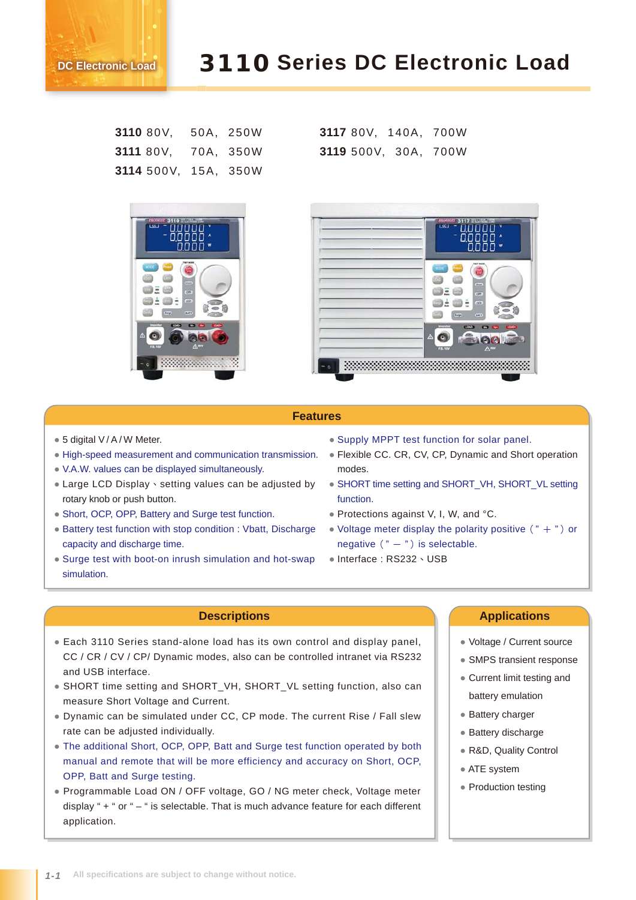# 3110 **Series DC Electronic Load**

| 3110 80V,            |  | 50A, 250W |
|----------------------|--|-----------|
| 3111 80V,            |  | 70A, 350W |
| 3114 500V, 15A, 350W |  |           |



**3117** 80V, 140A, 700W **3119** 500V, 30A, 700W



### **Features**

● 5 digital V / A / W Meter.

**DC Electronic Load**

- High-speed measurement and communication transmission.
- V.A.W. values can be displayed simultaneously.
- Large LCD Display、setting values can be adjusted by rotary knob or push button.
- Short, OCP, OPP, Battery and Surge test function.
- Battery test function with stop condition : Vbatt, Discharge capacity and discharge time.
- Surge test with boot-on inrush simulation and hot-swap simulation.
- Supply MPPT test function for solar panel.
- Flexible CC. CR, CV, CP, Dynamic and Short operation modes.
- SHORT time setting and SHORT\_VH, SHORT\_VL setting function.
- Protections against V, I, W, and °C.
- Voltage meter display the polarity positive  $($  " + ") or negative  $(" -")$  is selectable.
- Interface: RS232、USB

- Each 3110 Series stand-alone load has its own control and display panel, CC / CR / CV / CP/ Dynamic modes, also can be controlled intranet via RS232 and USB interface.
- SHORT time setting and SHORT\_VH, SHORT\_VL setting function, also can measure Short Voltage and Current.
- Dynamic can be simulated under CC, CP mode. The current Rise / Fall slew rate can be adjusted individually.
- The additional Short, OCP, OPP, Batt and Surge test function operated by both manual and remote that will be more efficiency and accuracy on Short, OCP, OPP, Batt and Surge testing.
- Programmable Load ON / OFF voltage, GO / NG meter check, Voltage meter display " + " or " – " is selectable. That is much advance feature for each different application.

#### **Descriptions Applications**

- Voltage / Current source
- SMPS transient response
- Current limit testing and battery emulation
- Battery charger
- Battery discharge
- R&D, Quality Control
- ATE system
- Production testing